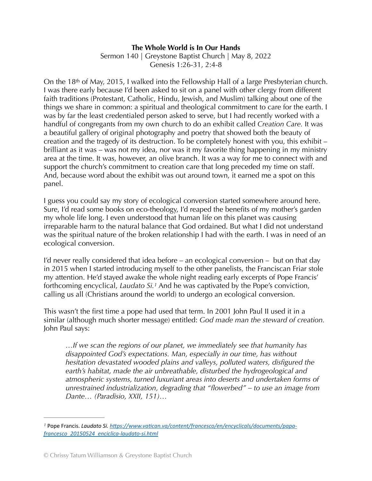## **The Whole World is In Our Hands**

Sermon 140 | Greystone Baptist Church | May 8, 2022 Genesis 1:26-31, 2:4-8

On the 18th of May, 2015, I walked into the Fellowship Hall of a large Presbyterian church. I was there early because I'd been asked to sit on a panel with other clergy from different faith traditions (Protestant, Catholic, Hindu, Jewish, and Muslim) talking about one of the things we share in common: a spiritual and theological commitment to care for the earth. I was by far the least credentialed person asked to serve, but I had recently worked with a handful of congregants from my own church to do an exhibit called *Creation Care.* It was a beautiful gallery of original photography and poetry that showed both the beauty of creation and the tragedy of its destruction. To be completely honest with you, this exhibit – brilliant as it was – was not my idea, nor was it my favorite thing happening in my ministry area at the time. It was, however, an olive branch. It was a way for me to connect with and support the church's commitment to creation care that long preceded my time on staff. And, because word about the exhibit was out around town, it earned me a spot on this panel.

I guess you could say my story of ecological conversion started somewhere around here. Sure, I'd read some books on eco-theology, I'd reaped the benefits of my mother's garden my whole life long. I even understood that human life on this planet was causing irreparable harm to the natural balance that God ordained. But what I did not understand was the spiritual nature of the broken relationship I had with the earth. I was in need of an ecological conversion.

I'd never really considered that idea before – an ecological conversion – but on that day in 2015 when I started introducing myself to the other panelists, the Franciscan Friar stole my attention. He'd stayed awake the whole night reading early excerpts of Pope Francis' forthcoming encyclical, *Laudato Si.<sup>[1](#page-0-0)</sup>* And he was captivated by the Pope's conviction, calling us all (Christians around the world) to undergo an ecological conversion.

This wasn't the first time a pope had used that term. In 2001 John Paul II used it in a similar (although much shorter message) entitled: *God made man the steward of creation.* John Paul says:

<span id="page-0-1"></span>*…If we scan the regions of our planet, we immediately see that humanity has disappointed God's expectations. Man, especially in our time, has without hesitation devastated wooded plains and valleys, polluted waters, disfigured the earth's habitat, made the air unbreathable, disturbed the hydrogeological and atmospheric systems, turned luxuriant areas into deserts and undertaken forms of unrestrained industrialization, degrading that "flowerbed" – to use an image from Dante… (Paradisio, XXII, 151)…* 

<span id="page-0-0"></span><sup>&</sup>lt;sup>[1](#page-0-1)</sup> Pope Francis. *Laudato Si. https://www.vatican.va/content/francesco/en/encyclicals/documents/papa[francesco\\_20150524\\_enciclica-laudato-si.html](https://www.vatican.va/content/francesco/en/encyclicals/documents/papa-francesco_20150524_enciclica-laudato-si.html)*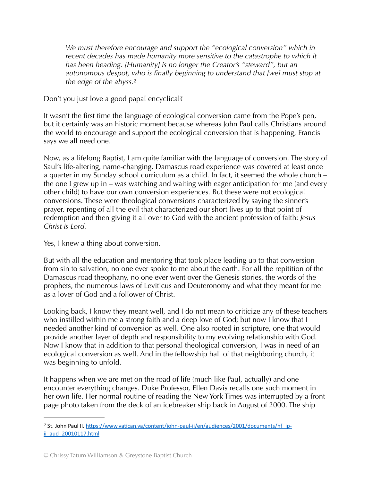<span id="page-1-1"></span>*We must therefore encourage and support the "ecological conversion" which in*  recent decades has made humanity more sensitive to the catastrophe to which it *has been heading. [Humanity] is no longer the Creator's "steward", but an autonomous despot, who is finally beginning to understand that [we] must stop at the edge of the abyss[.](#page-1-0) [2](#page-1-0)*

Don't you just love a good papal encyclical?

It wasn't the first time the language of ecological conversion came from the Pope's pen, but it certainly was an historic moment because whereas John Paul calls Christians around the world to encourage and support the ecological conversion that is happening, Francis says we all need one.

Now, as a lifelong Baptist, I am quite familiar with the language of conversion. The story of Saul's life-altering, name-changing, Damascus road experience was covered at least once a quarter in my Sunday school curriculum as a child. In fact, it seemed the whole church – the one I grew up in – was watching and waiting with eager anticipation for me (and every other child) to have our own conversion experiences. But these were not ecological conversions. These were theological conversions characterized by saying the sinner's prayer, repenting of all the evil that characterized our short lives up to that point of redemption and then giving it all over to God with the ancient profession of faith: *Jesus Christ is Lord.*

Yes, I knew a thing about conversion.

But with all the education and mentoring that took place leading up to that conversion from sin to salvation, no one ever spoke to me about the earth. For all the repitition of the Damascus road theophany, no one ever went over the Genesis stories, the words of the prophets, the numerous laws of Leviticus and Deuteronomy and what they meant for me as a lover of God and a follower of Christ.

Looking back, I know they meant well, and I do not mean to criticize any of these teachers who instilled within me a strong faith and a deep love of God; but now I know that I needed another kind of conversion as well. One also rooted in scripture, one that would provide another layer of depth and responsibility to my evolving relationship with God. Now I know that in addition to that personal theological conversion, I was in need of an ecological conversion as well. And in the fellowship hall of that neighboring church, it was beginning to unfold.

It happens when we are met on the road of life (much like Paul, actually) and one encounter everything changes. Duke Professor, Ellen Davis recalls one such moment in her own life. Her normal routine of reading the New York Times was interrupted by a front page photo taken from the deck of an icebreaker ship back in August of 2000. The ship

<span id="page-1-0"></span><sup>&</sup>lt;sup>[2](#page-1-1)</sup> St. John Paul II. https://www.vatican.va/content/john-paul-ii/en/audiences/2001/documents/hf jp[ii\\_aud\\_20010117.html](https://www.vatican.va/content/john-paul-ii/en/audiences/2001/documents/hf_jp-ii_aud_20010117.html)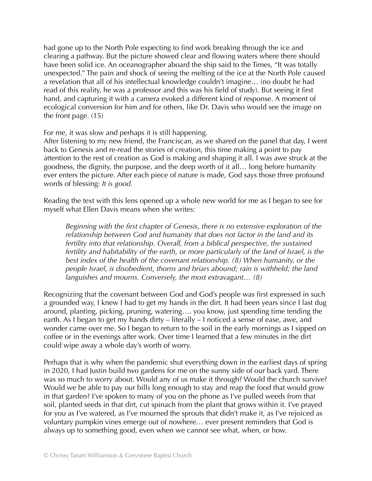had gone up to the North Pole expecting to find work breaking through the ice and clearing a pathway. But the picture showed clear and flowing waters where there should have been solid ice. An oceanographer aboard the ship said to the Times, "It was totally unexpected." The pain and shock of seeing the melting of the ice at the North Pole caused a revelation that all of his intellectual knowledge couldn't imagine… (no doubt he had read of this reality, he was a professor and this was his field of study). But seeing it first hand, and capturing it with a camera evoked a different kind of response. A moment of ecological conversion for him and for others, like Dr. Davis who would see the image on the front page. (15)

For me, it was slow and perhaps it is still happening.

After listening to my new friend, the Franciscan, as we shared on the panel that day, I went back to Genesis and re-read the stories of creation, this time making a point to pay attention to the rest of creation as God is making and shaping it all. I was awe struck at the goodness, the dignity, the purpose, and the deep worth of it all… long before humanity ever enters the picture. After each piece of nature is made, God says those three profound words of blessing: *It is good.*

Reading the text with this lens opened up a whole new world for me as I began to see for myself what Ellen Davis means when she writes:

*Beginning with the first chapter of Genesis, there is no extensive exploration of the relationship between God and humanity that does not factor in the land and its fertility into that relationship. Overall, from a biblical perspective, the sustained fertility and habitability of the earth, or more particularly of the land of Israel, is the best index of the health of the covenant relationship. (8) When humanity, or the people Israel, is disobedient, thorns and briars abound; rain is withheld; the land languishes and mourns. Conversely, the most extravagant… (8)* 

Recognizing that the covenant between God and God's people was first expressed in such a grounded way, I knew I had to get my hands in the dirt. It had been years since I last dug around, planting, picking, pruning, watering…. you know, just spending time tending the earth. As I began to get my hands dirty – literally – I noticed a sense of ease, awe, and wonder came over me. So I began to return to the soil in the early mornings as I sipped on coffee or in the evenings after work. Over time I learned that a few minutes in the dirt could wipe away a whole day's worth of worry.

Perhaps that is why when the pandemic shut everything down in the earliest days of spring in 2020, I had Justin build two gardens for me on the sunny side of our back yard. There was so much to worry about. Would any of us make it through? Would the church survive? Would we be able to pay our bills long enough to stay and reap the food that would grow in that garden? I've spoken to many of you on the phone as I've pulled weeds from that soil, planted seeds in that dirt, cut spinach from the plant that grows within it. I've prayed for you as I've watered, as I've mourned the sprouts that didn't make it, as I've rejoiced as voluntary pumpkin vines emerge out of nowhere… ever present reminders that God is always up to something good, even when we cannot see what, when, or how.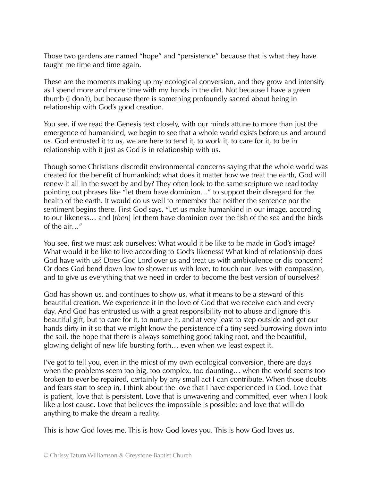Those two gardens are named "hope" and "persistence" because that is what they have taught me time and time again.

These are the moments making up my ecological conversion, and they grow and intensify as I spend more and more time with my hands in the dirt. Not because I have a green thumb (I don't), but because there is something profoundly sacred about being in relationship with God's good creation.

You see, if we read the Genesis text closely, with our minds attune to more than just the emergence of humankind, we begin to see that a whole world exists before us and around us. God entrusted it to us, we are here to tend it, to work it, to care for it, to be in relationship with it just as God is in relationship with us.

Though some Christians discredit environmental concerns saying that the whole world was created for the benefit of humankind; what does it matter how we treat the earth, God will renew it all in the sweet by and by? They often look to the same scripture we read today pointing out phrases like "let them have dominion…" to support their disregard for the health of the earth. It would do us well to remember that neither the sentence nor the sentiment begins there. First God says, "Let us make humankind in our image, according to our likeness… and [*then*] let them have dominion over the fish of the sea and the birds of the air…"

You see, first we must ask ourselves: What would it be like to be made in God's image? What would it be like to live according to God's likeness? What kind of relationship does God have with us? Does God Lord over us and treat us with ambivalence or dis-concern? Or does God bend down low to shower us with love, to touch our lives with compassion, and to give us everything that we need in order to become the best version of ourselves?

God has shown us, and continues to show us, what it means to be a steward of this beautiful creation. We experience it in the love of God that we receive each and every day. And God has entrusted us with a great responsibility not to abuse and ignore this beautiful gift, but to care for it, to nurture it, and at very least to step outside and get our hands dirty in it so that we might know the persistence of a tiny seed burrowing down into the soil, the hope that there is always something good taking root, and the beautiful, glowing delight of new life bursting forth… even when we least expect it.

I've got to tell you, even in the midst of my own ecological conversion, there are days when the problems seem too big, too complex, too daunting… when the world seems too broken to ever be repaired, certainly by any small act I can contribute. When those doubts and fears start to seep in, I think about the love that I have experienced in God. Love that is patient, love that is persistent. Love that is unwavering and committed, even when I look like a lost cause. Love that believes the impossible is possible; and love that will do anything to make the dream a reality.

This is how God loves me. This is how God loves you. This is how God loves us.